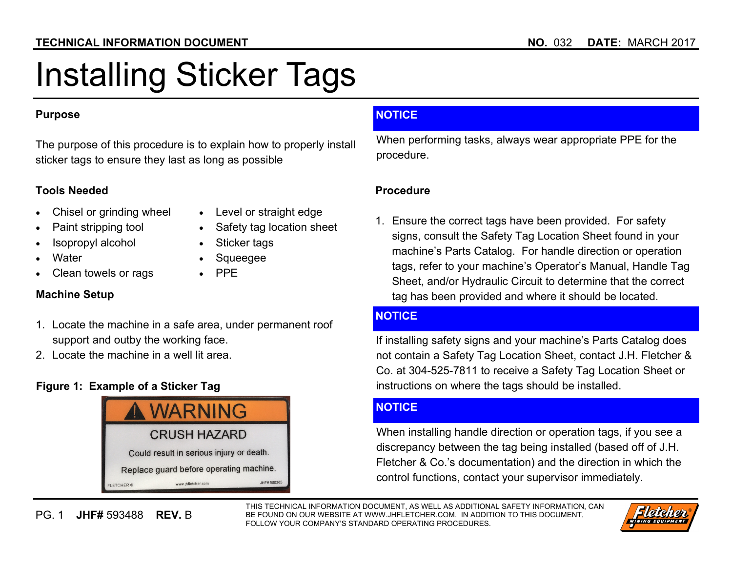#### **TECHNICAL INFORMATION DOCUMENT NO.** 032 **DATE:** MARCH 2017

# Installing Sticker Tags

#### **Purpose**

The purpose of this procedure is to explain how to properly install sticker tags to ensure they last as long as possible

#### **Tools Needed**

- $\bullet$ Chisel or grinding wheel
- $\bullet$ Level or straight edge
- $\bullet$ Paint stripping tool
- $\bullet$ Isopropyl alcohol
- $\bullet$ **Water**
- $\bullet$ Clean towels or rags
- $\bullet$ Safety tag location sheet
- $\bullet$ Sticker tags
- $\bullet$ Squeegee
- $\bullet$ PPE

#### **Machine Setup**

- 1. Locate the machine in a safe area, under permanent roof support and outby the working face.
- 2. Locate the machine in a well lit area.

# **Figure 1: Example of a Sticker Tag**



# **NOTICE**

When performing tasks, always wear appropriate PPE for the procedure.

#### **Procedure**

1. Ensure the correct tags have been provided. For safety signs, consult the Safety Tag Location Sheet found in your machine's Parts Catalog. For handle direction or operation tags, refer to your machine's Operator's Manual, Handle Tag Sheet, and/or Hydraulic Circuit to determine that the correct tag has been provided and where it should be located.

#### **NOTICE**

If installing safety signs and your machine's Parts Catalog does not contain a Safety Tag Location Sheet, contact J.H. Fletcher & Co. at 304-525-7811 to receive a Safety Tag Location Sheet or instructions on where the tags should be installed.

#### **NOTICE**

When installing handle direction or operation tags, if you see a discrepancy between the tag being installed (based off of J.H. Fletcher & Co.'s documentation) and the direction in which the control functions, contact your supervisor immediately.

THIS TECHNICAL INFORMATION DOCUMENT, AS WELL AS ADDITIONAL SAFETY INFORMATION, CAN BE FOUND ON OUR WEBSITE AT WWW.JHFLETCHER.COM. IN ADDITION TO THIS DOCUMENT, FOLLOW YOUR COMPANY'S STANDARD OPERATING PROCEDURES.